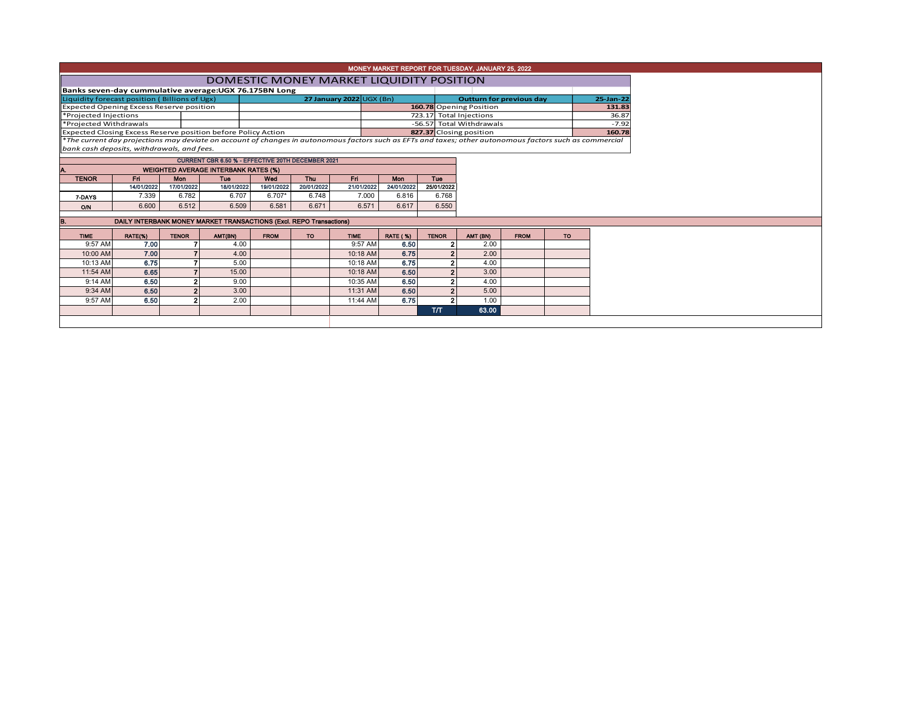| MONEY MARKET REPORT FOR TUESDAY, JANUARY 25, 2022                                                                                                                                                      |                                          |                                                        |                                             |                                                                     |             |            |                                 |                 |                          |                                 |             |           |           |  |  |
|--------------------------------------------------------------------------------------------------------------------------------------------------------------------------------------------------------|------------------------------------------|--------------------------------------------------------|---------------------------------------------|---------------------------------------------------------------------|-------------|------------|---------------------------------|-----------------|--------------------------|---------------------------------|-------------|-----------|-----------|--|--|
|                                                                                                                                                                                                        | DOMESTIC MONEY MARKET LIQUIDITY POSITION |                                                        |                                             |                                                                     |             |            |                                 |                 |                          |                                 |             |           |           |  |  |
|                                                                                                                                                                                                        |                                          | Banks seven-day cummulative average: UGX 76.175BN Long |                                             |                                                                     |             |            |                                 |                 |                          |                                 |             |           |           |  |  |
|                                                                                                                                                                                                        |                                          | Liquidity forecast position (Billions of Ugx)          |                                             |                                                                     |             |            | <b>27 January 2022 UGX (Bn)</b> |                 |                          | <b>Outturn for previous day</b> |             |           | 25-Jan-22 |  |  |
| <b>Expected Opening Excess Reserve position</b>                                                                                                                                                        |                                          |                                                        |                                             |                                                                     |             |            |                                 |                 |                          | 160.78 Opening Position         |             | 131.83    |           |  |  |
| *Projected Injections                                                                                                                                                                                  |                                          |                                                        |                                             |                                                                     |             |            |                                 |                 | 723.17 Total Injections  |                                 | 36.87       |           |           |  |  |
| *Projected Withdrawals                                                                                                                                                                                 |                                          |                                                        |                                             |                                                                     |             |            |                                 |                 | -56.57 Total Withdrawals |                                 | $-7.92$     |           |           |  |  |
|                                                                                                                                                                                                        |                                          |                                                        |                                             | Expected Closing Excess Reserve position before Policy Action       |             |            |                                 |                 |                          | 827.37 Closing position         |             |           | 160.78    |  |  |
| *The current day projections may deviate on account of changes in autonomous factors such as EFTs and taxes; other autonomous factors such as commercial<br>bank cash deposits, withdrawals, and fees. |                                          |                                                        |                                             |                                                                     |             |            |                                 |                 |                          |                                 |             |           |           |  |  |
|                                                                                                                                                                                                        |                                          |                                                        |                                             | CURRENT CBR 6.50 % - EFFECTIVE 20TH DECEMBER 2021                   |             |            |                                 |                 |                          |                                 |             |           |           |  |  |
|                                                                                                                                                                                                        |                                          |                                                        |                                             |                                                                     |             |            |                                 |                 |                          |                                 |             |           |           |  |  |
|                                                                                                                                                                                                        |                                          |                                                        | <b>WEIGHTED AVERAGE INTERBANK RATES (%)</b> |                                                                     |             |            |                                 |                 |                          |                                 |             |           |           |  |  |
| <b>TENOR</b>                                                                                                                                                                                           |                                          | Fri.                                                   | <b>Mon</b>                                  | <b>Tuo</b>                                                          | Wed         | Thu        | Fri.                            | <b>Mon</b>      | <b>Tuo</b>               |                                 |             |           |           |  |  |
|                                                                                                                                                                                                        |                                          | 14/01/2022                                             | 17/01/2022                                  | 18/01/2022                                                          | 19/01/2022  | 20/01/2022 | 21/01/2022                      | 24/01/2022      | 25/01/2022               |                                 |             |           |           |  |  |
| 7-DAYS                                                                                                                                                                                                 |                                          | 7.339                                                  | 6.782                                       | 6.707                                                               | 6.707*      | 6.748      | 7.000                           | 6.816           | 6.768                    |                                 |             |           |           |  |  |
| O/N                                                                                                                                                                                                    |                                          | 6.600                                                  | 6.512                                       | 6.509                                                               | 6.581       | 6.671      | 6.571                           | 6.617           | 6.550                    |                                 |             |           |           |  |  |
|                                                                                                                                                                                                        |                                          |                                                        |                                             | DAILY INTERBANK MONEY MARKET TRANSACTIONS (Excl. REPO Transactions) |             |            |                                 |                 |                          |                                 |             |           |           |  |  |
| IB.                                                                                                                                                                                                    |                                          |                                                        |                                             |                                                                     |             |            |                                 |                 |                          |                                 |             |           |           |  |  |
| <b>TIME</b>                                                                                                                                                                                            |                                          | RATE(%)                                                | <b>TENOR</b>                                | AMT(BN)                                                             | <b>FROM</b> | <b>TO</b>  | <b>TIME</b>                     | <b>RATE (%)</b> | <b>TENOR</b>             | AMT (BN)                        | <b>FROM</b> | <b>TO</b> |           |  |  |
|                                                                                                                                                                                                        | 9:57 AM                                  | 7.00                                                   |                                             | 4.00                                                                |             |            | 9:57 AM                         | 6.50            |                          | 2.00                            |             |           |           |  |  |
|                                                                                                                                                                                                        | 10:00 AM                                 | 7.00                                                   |                                             | 4.00                                                                |             |            | 10:18 AM                        | 6.75            |                          | 2.00                            |             |           |           |  |  |
|                                                                                                                                                                                                        | 10:13 AM                                 | 6.75                                                   |                                             | 5.00                                                                |             |            | 10:18 AM                        | 6.75            |                          | 4.00                            |             |           |           |  |  |
|                                                                                                                                                                                                        | 11:54 AM                                 | 6.65                                                   |                                             | 15.00                                                               |             |            | 10:18 AM                        | 6.50            |                          | 3.00                            |             |           |           |  |  |
|                                                                                                                                                                                                        | 9:14 AM                                  | 6.50                                                   |                                             | 9.00                                                                |             |            | 10:35 AM                        | 6.50            |                          | 4.00                            |             |           |           |  |  |
|                                                                                                                                                                                                        | 9:34 AM                                  | 6.50                                                   |                                             | 3.00                                                                |             |            | 11:31 AM                        | 6.50            | $\overline{2}$           | 5.00                            |             |           |           |  |  |
|                                                                                                                                                                                                        | 9:57 AM                                  | 6.50                                                   |                                             | 2.00                                                                |             |            | 11:44 AM                        | 6.75            |                          | 1.00                            |             |           |           |  |  |
|                                                                                                                                                                                                        |                                          |                                                        |                                             |                                                                     |             |            |                                 |                 | T/T                      | 63.00                           |             |           |           |  |  |
|                                                                                                                                                                                                        |                                          |                                                        |                                             |                                                                     |             |            |                                 |                 |                          |                                 |             |           |           |  |  |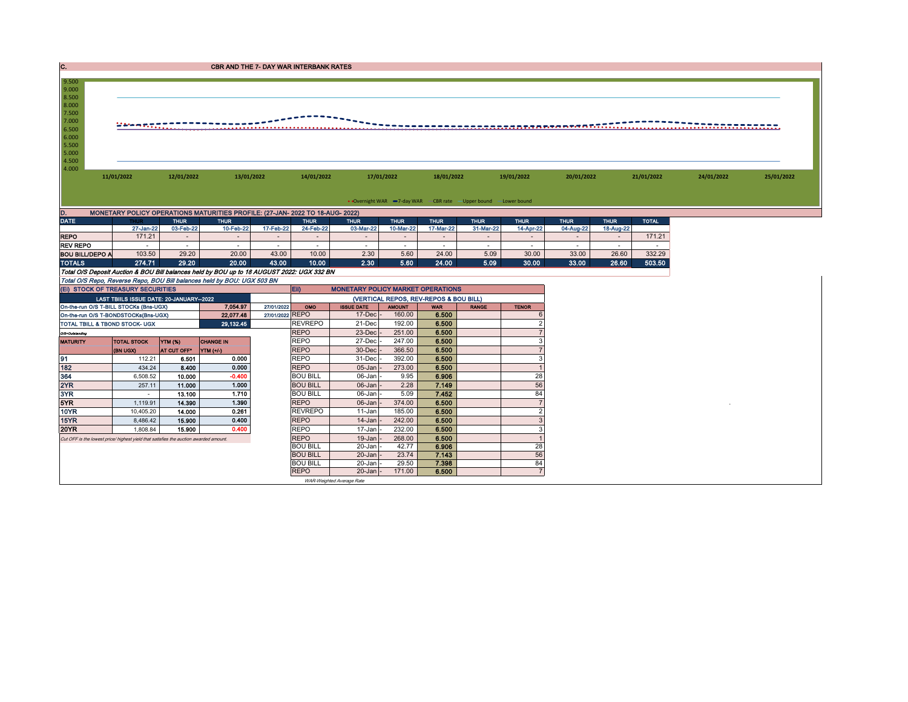| C.                                                                                    |                                                                                                                                                   |                  | <b>CBR AND THE 7- DAY WAR INTERBANK RATES</b>                                              |                                                                                            |                                    |                   |                          |                |              |                         |             |             |              |            |            |  |  |
|---------------------------------------------------------------------------------------|---------------------------------------------------------------------------------------------------------------------------------------------------|------------------|--------------------------------------------------------------------------------------------|--------------------------------------------------------------------------------------------|------------------------------------|-------------------|--------------------------|----------------|--------------|-------------------------|-------------|-------------|--------------|------------|------------|--|--|
| 9.500                                                                                 |                                                                                                                                                   |                  |                                                                                            |                                                                                            |                                    |                   |                          |                |              |                         |             |             |              |            |            |  |  |
| 9.000                                                                                 |                                                                                                                                                   |                  |                                                                                            |                                                                                            |                                    |                   |                          |                |              |                         |             |             |              |            |            |  |  |
| 8.500<br>8.000                                                                        |                                                                                                                                                   |                  |                                                                                            |                                                                                            |                                    |                   |                          |                |              |                         |             |             |              |            |            |  |  |
| 7.500                                                                                 |                                                                                                                                                   |                  |                                                                                            |                                                                                            |                                    |                   |                          |                |              |                         |             |             |              |            |            |  |  |
| 7.000                                                                                 |                                                                                                                                                   |                  |                                                                                            |                                                                                            |                                    |                   |                          |                |              |                         |             |             |              |            |            |  |  |
| 6.500                                                                                 | 244 meneri                                                                                                                                        |                  |                                                                                            |                                                                                            |                                    |                   |                          |                |              |                         |             |             |              |            |            |  |  |
| 6.000                                                                                 |                                                                                                                                                   |                  |                                                                                            |                                                                                            |                                    |                   |                          |                |              |                         |             |             |              |            |            |  |  |
| 5.000                                                                                 | 5.500                                                                                                                                             |                  |                                                                                            |                                                                                            |                                    |                   |                          |                |              |                         |             |             |              |            |            |  |  |
| 4.500                                                                                 |                                                                                                                                                   |                  |                                                                                            |                                                                                            |                                    |                   |                          |                |              |                         |             |             |              |            |            |  |  |
| 4.000                                                                                 |                                                                                                                                                   |                  |                                                                                            |                                                                                            |                                    |                   |                          |                |              |                         |             |             |              |            |            |  |  |
|                                                                                       | 11/01/2022                                                                                                                                        | 12/01/2022       |                                                                                            | 13/01/2022                                                                                 | 14/01/2022                         | 17/01/2022        |                          | 18/01/2022     |              | 19/01/2022              | 20/01/2022  |             | 21/01/2022   | 24/01/2022 | 25/01/2022 |  |  |
|                                                                                       |                                                                                                                                                   |                  |                                                                                            |                                                                                            |                                    |                   |                          |                |              |                         |             |             |              |            |            |  |  |
|                                                                                       |                                                                                                                                                   |                  |                                                                                            |                                                                                            |                                    |                   |                          |                |              |                         |             |             |              |            |            |  |  |
|                                                                                       | • Overnight WAR -7-day WAR - CBR rate - Upper bound -Lower bound<br>MONETARY POLICY OPERATIONS MATURITIES PROFILE: (27-JAN- 2022 TO 18-AUG- 2022) |                  |                                                                                            |                                                                                            |                                    |                   |                          |                |              |                         |             |             |              |            |            |  |  |
| D.<br><b>DATE</b>                                                                     | TH II                                                                                                                                             | <b>THUR</b>      | <b>THUR</b>                                                                                |                                                                                            | <b>THUR</b>                        | <b>THUR</b>       | <b>THUR</b>              | <b>THUR</b>    | <b>THUR</b>  | <b>THUR</b>             | <b>THUR</b> | <b>THUR</b> | <b>TOTAL</b> |            |            |  |  |
|                                                                                       | 27-Jan-22                                                                                                                                         | 03-Feb-22        | 10-Feb-22                                                                                  | 17-Feb-22                                                                                  | 24-Feb-22                          | 03-Mar-22         | 10-Mar-22                | 17-Mar-22      | 31-Mar-22    | 14-Apr-22               | 04-Aug-22   | 18-Aug-22   |              |            |            |  |  |
| <b>REPO</b>                                                                           | 171.21                                                                                                                                            | $\sim$           | $\sim$                                                                                     | $\sim$                                                                                     | $\sim$                             | $\sim$            | $\overline{\phantom{a}}$ | $\sim$         | $\sim$       | $\sim$                  | $\sim$      | $\sim$      | 171.21       |            |            |  |  |
| <b>REV REPO</b>                                                                       |                                                                                                                                                   | . п.             | . п.                                                                                       | $\overline{\phantom{a}}$                                                                   | $\sim$                             | $\sim$            | $\sim$                   | $\sim$         | $\sim$       | $\sim$                  | $\sim$      | $\sim$      | $\sim$       |            |            |  |  |
| <b>BOU BILL/DEPO A</b>                                                                | 103.50                                                                                                                                            | 29.20            | 20.00                                                                                      | 43.00                                                                                      | 10.00                              | 2.30              | 5.60                     | 24.00          | 5.09         | 30.00                   | 33.00       | 26.60       | 332.29       |            |            |  |  |
| <b>TOTALS</b>                                                                         | 274.71                                                                                                                                            | 29.20            | 20.00                                                                                      | 43.00                                                                                      | 10.00                              | 2.30              | 5.60                     | 24.00          | 5.09         | 30.00                   | 33.00       | 26.60       | 503.50       |            |            |  |  |
|                                                                                       |                                                                                                                                                   |                  | Total O/S Deposit Auction & BOU Bill balances held by BOU up to 18 AUGUST 2022: UGX 332 BN |                                                                                            |                                    |                   |                          |                |              |                         |             |             |              |            |            |  |  |
|                                                                                       |                                                                                                                                                   |                  | Total O/S Repo, Reverse Repo, BOU Bill balances held by BOU: UGX 503 BN                    |                                                                                            |                                    |                   |                          |                |              |                         |             |             |              |            |            |  |  |
| (EI) STOCK OF TREASURY SECURITIES                                                     |                                                                                                                                                   |                  |                                                                                            | Eii)<br><b>MONETARY POLICY MARKET OPERATIONS</b><br>(VERTICAL REPOS, REV-REPOS & BOU BILL) |                                    |                   |                          |                |              |                         |             |             |              |            |            |  |  |
| On-the-run O/S T-BILL STOCKs (Bns-UGX)                                                | LAST TBIILS ISSUE DATE: 20-JANUARY-2022                                                                                                           |                  | 7.054.97                                                                                   | 27/01/2022                                                                                 | OMO                                | <b>ISSUE DATE</b> | <b>AMOUNT</b>            | <b>WAR</b>     | <b>RANGE</b> | <b>TENOR</b>            |             |             |              |            |            |  |  |
| On-the-run O/S T-BONDSTOCKs(Bns-UGX)                                                  | 27/01/2022 REPO                                                                                                                                   |                  | $17$ -Dec                                                                                  | 160.00                                                                                     | 6.500                              |                   |                          |                |              |                         |             |             |              |            |            |  |  |
| TOTAL TBILL & TBOND STOCK- UGX                                                        |                                                                                                                                                   |                  | 22,077.48<br>29,132.45                                                                     |                                                                                            | <b>REVREPO</b>                     | 21-Dec            | 192.00                   | 6.500          |              |                         |             |             |              |            |            |  |  |
| O/S=Outstanding                                                                       |                                                                                                                                                   |                  |                                                                                            |                                                                                            | <b>REPO</b>                        | 23-Dec            | 251.00                   | 6.500          |              |                         |             |             |              |            |            |  |  |
| <b>MATURITY</b>                                                                       | <b>TOTAL STOCK</b>                                                                                                                                | <b>YTM (%)</b>   | <b>CHANGE IN</b>                                                                           |                                                                                            | <b>REPO</b>                        | 27-Dec            | 247.00                   | 6.500          |              |                         |             |             |              |            |            |  |  |
|                                                                                       | (BN UGX)                                                                                                                                          | AT CUT OFF*      | <b>YTM</b> (+/-)                                                                           |                                                                                            | <b>REPO</b>                        | 30-Dec            | 366.50                   | 6.500          |              |                         |             |             |              |            |            |  |  |
| 91                                                                                    | 112.21                                                                                                                                            | 6.501            | 0.000                                                                                      |                                                                                            | <b>REPO</b>                        | 31-Dec            | 392.00                   | 6.500          |              | ٩                       |             |             |              |            |            |  |  |
| 182                                                                                   | 434.24                                                                                                                                            | 8.400            | 0.000                                                                                      |                                                                                            | <b>REPO</b>                        | 05-Jan            | 273.00                   | 6.500          |              |                         |             |             |              |            |            |  |  |
| 364                                                                                   | 6,508.52                                                                                                                                          | 10.000           | $-0.400$                                                                                   |                                                                                            | <b>BOU BILL</b>                    | 06-Jan            | 9.95                     | 6.906          |              | 28                      |             |             |              |            |            |  |  |
| 2YR<br>3YR                                                                            | 257.11                                                                                                                                            | 11.000           | 1.000<br>1.710                                                                             |                                                                                            | <b>BOU BILL</b><br><b>BOU BILL</b> | 06-Jan<br>06-Jan  | 2.28<br>5.09             | 7.149<br>7.452 |              | 56<br>84                |             |             |              |            |            |  |  |
| 5YR                                                                                   | $\sim$<br>1,119.91                                                                                                                                | 13.100<br>14.390 | 1.390                                                                                      |                                                                                            | <b>REPO</b>                        | 06-Jan            | 374.00                   | 6.500          |              |                         |             |             |              |            |            |  |  |
| <b>10YR</b>                                                                           | 10.405.20                                                                                                                                         | 14.000           | 0.261                                                                                      |                                                                                            | <b>REVREPO</b>                     | 11-Jan            | 185.00                   | 6.500          |              | $\overline{\mathbf{c}}$ |             |             |              |            |            |  |  |
| 15YR                                                                                  | 8,486.42                                                                                                                                          | 15.900           | 0.400                                                                                      |                                                                                            | <b>REPO</b>                        | 14-Jan            | 242.00                   | 6.500          |              |                         |             |             |              |            |            |  |  |
| <b>20YR</b>                                                                           | 1.808.84                                                                                                                                          | 15,900           | 0.400                                                                                      |                                                                                            | <b>REPO</b>                        | 17-Jan            | 232.00                   | 6.500          |              | 3                       |             |             |              |            |            |  |  |
| Cut OFF is the lowest price/ highest yield that satisfies the auction awarded amount. |                                                                                                                                                   |                  |                                                                                            |                                                                                            | <b>REPO</b>                        | 19-Jan            | 268.00                   | 6.500          |              |                         |             |             |              |            |            |  |  |
|                                                                                       |                                                                                                                                                   |                  |                                                                                            |                                                                                            | <b>BOU BILL</b>                    | 20-Jan            | 42.77                    | 6.906          |              | 28                      |             |             |              |            |            |  |  |
|                                                                                       |                                                                                                                                                   |                  |                                                                                            |                                                                                            | <b>BOU BILL</b>                    | $20 - Jan$        | 23.74                    | 7.143          |              | 56                      |             |             |              |            |            |  |  |

BOU BILL 20-Jan - 29.50 7.398 84 REPO 20-Jan - 171.00 6.500 7

WAR-Weighted Average Rate